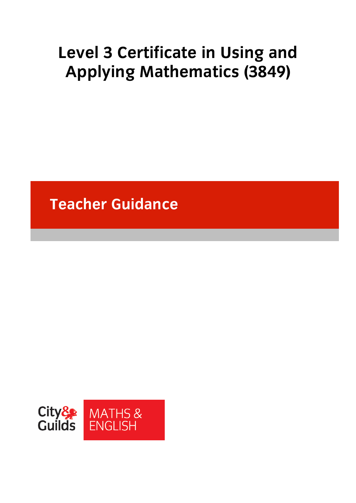# **Level 3 Certificate in Using and Applying Mathematics (3849)**

**Teacher Guidance** 

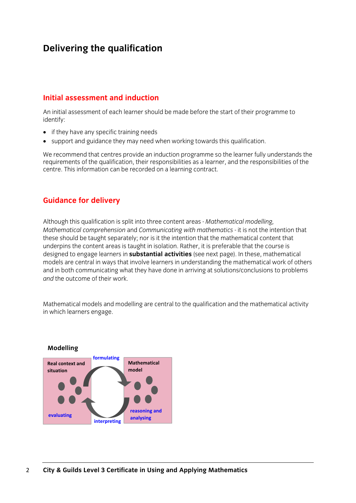# **Delivering the qualification**

## **Initial assessment and induction**

An initial assessment of each learner should be made before the start of their programme to identify:

- if they have any specific training needs
- support and guidance they may need when working towards this qualification.

We recommend that centres provide an induction programme so the learner fully understands the requirements of the qualification, their responsibilities as a learner, and the responsibilities of the centre. This information can be recorded on a learning contract.

# **Guidance for delivery**

Although this qualification is split into three content areas - *Mathematical modelling, Mathematical comprehension* and *Communicating with mathematics* - it is not the intention that these should be taught separately; nor is it the intention that the mathematical content that underpins the content areas is taught in isolation. Rather, it is preferable that the course is designed to engage learners in **substantial activities** (see next page). In these, mathematical models are central in ways that involve learners in understanding the mathematical work of others and in both communicating what they have done in arriving at solutions/conclusions to problems *and* the outcome of their work.

Mathematical models and modelling are central to the qualification and the mathematical activity in which learners engage.

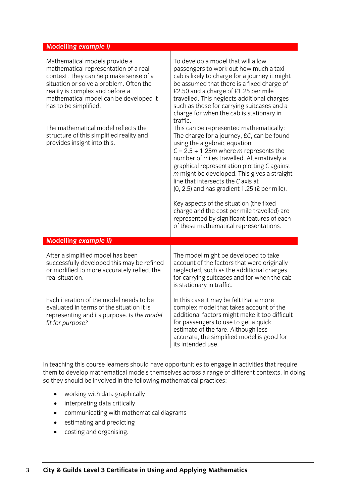### **Modelling** *example i)*

| Mathematical models provide a<br>mathematical representation of a real<br>context. They can help make sense of a<br>situation or solve a problem. Often the<br>reality is complex and before a<br>mathematical model can be developed it<br>has to be simplified.<br>The mathematical model reflects the<br>structure of this simplified reality and<br>provides insight into this. | To develop a model that will allow<br>passengers to work out how much a taxi<br>cab is likely to charge for a journey it might<br>be assumed that there is a fixed charge of<br>£2.50 and a charge of £1.25 per mile<br>travelled. This neglects additional charges<br>such as those for carrying suitcases and a<br>charge for when the cab is stationary in<br>traffic.<br>This can be represented mathematically:<br>The charge for a journey, £C, can be found<br>using the algebraic equation<br>$C = 2.5 + 1.25m$ where <i>m</i> represents the<br>number of miles travelled. Alternatively a<br>graphical representation plotting C against<br>m might be developed. This gives a straight<br>line that intersects the C axis at<br>$(0, 2.5)$ and has gradient 1.25 (£ per mile).<br>Key aspects of the situation (the fixed<br>charge and the cost per mile travelled) are<br>represented by significant features of each<br>of these mathematical representations. |  |
|-------------------------------------------------------------------------------------------------------------------------------------------------------------------------------------------------------------------------------------------------------------------------------------------------------------------------------------------------------------------------------------|------------------------------------------------------------------------------------------------------------------------------------------------------------------------------------------------------------------------------------------------------------------------------------------------------------------------------------------------------------------------------------------------------------------------------------------------------------------------------------------------------------------------------------------------------------------------------------------------------------------------------------------------------------------------------------------------------------------------------------------------------------------------------------------------------------------------------------------------------------------------------------------------------------------------------------------------------------------------------|--|
| <b>Modelling example ii)</b>                                                                                                                                                                                                                                                                                                                                                        |                                                                                                                                                                                                                                                                                                                                                                                                                                                                                                                                                                                                                                                                                                                                                                                                                                                                                                                                                                              |  |
|                                                                                                                                                                                                                                                                                                                                                                                     |                                                                                                                                                                                                                                                                                                                                                                                                                                                                                                                                                                                                                                                                                                                                                                                                                                                                                                                                                                              |  |
| After a simplified model has been<br>successfully developed this may be refined<br>or modified to more accurately reflect the<br>real situation.                                                                                                                                                                                                                                    | The model might be developed to take<br>account of the factors that were originally<br>neglected, such as the additional charges<br>for carrying suitcases and for when the cab<br>is stationary in traffic.                                                                                                                                                                                                                                                                                                                                                                                                                                                                                                                                                                                                                                                                                                                                                                 |  |
| Each iteration of the model needs to be<br>evaluated in terms of the situation it is<br>representing and its purpose. Is the model<br>fit for purpose?                                                                                                                                                                                                                              | In this case it may be felt that a more<br>complex model that takes account of the<br>additional factors might make it too difficult<br>for passengers to use to get a quick<br>estimate of the fare. Although less<br>accurate, the simplified model is good for<br>its intended use.                                                                                                                                                                                                                                                                                                                                                                                                                                                                                                                                                                                                                                                                                       |  |

Τ

In teaching this course learners should have opportunities to engage in activities that require them to develop mathematical models themselves across a range of different contexts. In doing so they should be involved in the following mathematical practices:

- working with data graphically
- interpreting data critically
- communicating with mathematical diagrams
- estimating and predicting
- costing and organising.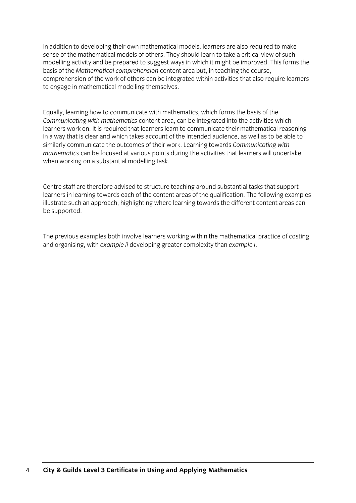In addition to developing their own mathematical models, learners are also required to make sense of the mathematical models of others. They should learn to take a critical view of such modelling activity and be prepared to suggest ways in which it might be improved. This forms the basis of the *Mathematical comprehension* content area but, in teaching the course, comprehension of the work of others can be integrated within activities that also require learners to engage in mathematical modelling themselves.

Equally, learning how to communicate with mathematics, which forms the basis of the *Communicating with mathematics* content area, can be integrated into the activities which learners work on. It is required that learners learn to communicate their mathematical reasoning in a way that is clear and which takes account of the intended audience, as well as to be able to similarly communicate the outcomes of their work. Learning towards *Communicating with mathematics* can be focused at various points during the activities that learners will undertake when working on a substantial modelling task.

Centre staff are therefore advised to structure teaching around substantial tasks that support learners in learning towards each of the content areas of the qualification. The following examples illustrate such an approach, highlighting where learning towards the different content areas can be supported.

The previous examples both involve learners working within the mathematical practice of costing and organising, with *example ii* developing greater complexity than *example i*.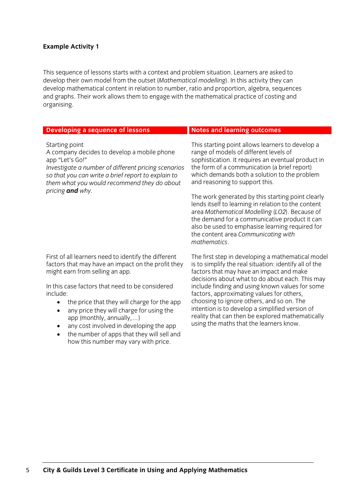### **Example Activity 1**

This sequence of lessons starts with a context and problem situation. Learners are asked to develop their own model from the outset (*Mathematical modelling*). In this activity they can develop mathematical content in relation to number, ratio and proportion, algebra, sequences and graphs. Their work allows them to engage with the mathematical practice of costing and organising.

| Developing a sequence of lessons                                                                                                                                                                                                                                                                                                                                                                                                          | <b>Notes and learning outcomes</b>                                                                                                                                                                                                                                                                                                                                                                                                                                                                                                                                                                         |  |
|-------------------------------------------------------------------------------------------------------------------------------------------------------------------------------------------------------------------------------------------------------------------------------------------------------------------------------------------------------------------------------------------------------------------------------------------|------------------------------------------------------------------------------------------------------------------------------------------------------------------------------------------------------------------------------------------------------------------------------------------------------------------------------------------------------------------------------------------------------------------------------------------------------------------------------------------------------------------------------------------------------------------------------------------------------------|--|
| Starting point<br>A company decides to develop a mobile phone<br>app "Let's Go!"<br>Investigate a number of different pricing scenarios<br>so that you can write a brief report to explain to<br>them what you would recommend they do about<br>pricing <b>and</b> why.                                                                                                                                                                   | This starting point allows learners to develop a<br>range of models of different levels of<br>sophistication. It requires an eventual product in<br>the form of a communication (a brief report)<br>which demands both a solution to the problem<br>and reasoning to support this.<br>The work generated by this starting point clearly<br>lends itself to learning in relation to the content<br>area Mathematical Modelling (LO2). Because of<br>the demand for a communicative product it can<br>also be used to emphasise learning required for<br>the content area Communicating with<br>mathematics. |  |
| First of all learners need to identify the different<br>factors that may have an impact on the profit they<br>might earn from selling an app.<br>In this case factors that need to be considered<br>include:<br>the price that they will charge for the app<br>any price they will charge for using the<br>$\bullet$<br>app (monthly, annually,)<br>any cost involved in developing the app<br>the number of apps that they will sell and | The first step in developing a mathematical model<br>is to simplify the real situation: identify all of the<br>factors that may have an impact and make<br>decisions about what to do about each. This may<br>include finding and using known values for some<br>factors, approximating values for others,<br>choosing to ignore others, and so on. The<br>intention is to develop a simplified version of<br>reality that can then be explored mathematically<br>using the maths that the learners know.                                                                                                  |  |

how this number may vary with price.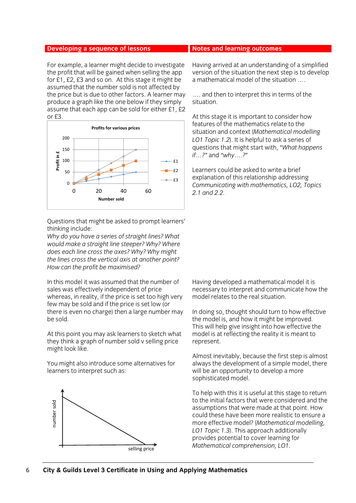For example, a learner might decide to investigate the profit that will be gained when selling the app for £1, £2, £3 and so on. At this stage it might be assumed that the number sold is not affected by the price but is due to other factors. A learner may produce a graph like the one below if they simply assume that each app can be sold for either £1, £2 or £3.



Questions that might be asked to prompt learners' thinking include:

*Why do you have a series of straight lines? What would make a straight line steeper? Why? Where does each line cross the axes? Why? Why might the lines cross the vertical axis at another point? How can the profit be maximised?* 

In this model it was assumed that the number of sales was effectively independent of price whereas, in reality, if the price is set too high very few may be sold and if the price is set low (or there is even no charge) then a large number may be sold.

At this point you may ask learners to sketch what they think a graph of number sold v selling price might look like.

You might also introduce some alternatives for learners to interpret such as:



Having arrived at an understanding of a simplified version of the situation the next step is to develop a mathematical model of the situation ….

…. and then to interpret this in terms of the situation.

At this stage it is important to consider how features of the mathematics relate to the situation and context (*Mathematical modelling LO1 Topic 1.2*). It is helpful to ask a series of questions that might start with, "*What happens if…?"* and *"why….?*"

Learners could be asked to write a brief explanation of this relationship addressing *Communicating with mathematics, LO2, Topics 2.1 and 2.2.*

Having developed a mathematical model it is necessary to interpret and communicate how the model relates to the real situation.

In doing so, thought should turn to how effective the model is, and how it might be improved. This will help give insight into how effective the model is at reflecting the reality it is meant to represent.

Almost inevitably, because the first step is almost always the development of a simple model, there will be an opportunity to develop a more sophisticated model.

To help with this it is useful at this stage to return to the initial factors that were considered and the assumptions that were made at that point. How could these have been more realistic to ensure a more effective model? (*Mathematical modelling, LO1 Topic 1.3*). This approach additionally provides potential to cover learning for *Mathematical comprehension, LO1*.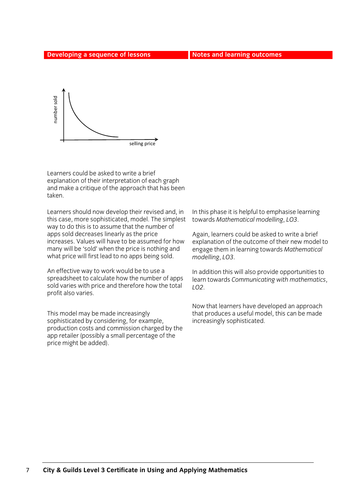

Learners could be asked to write a brief explanation of their interpretation of each graph and make a critique of the approach that has been taken.

Learners should now develop their revised and, in this case, more sophisticated, model. The simplest way to do this is to assume that the number of apps sold decreases linearly as the price increases. Values will have to be assumed for how many will be 'sold' when the price is nothing and what price will first lead to no apps being sold.

An effective way to work would be to use a spreadsheet to calculate how the number of apps sold varies with price and therefore how the total profit also varies.

This model may be made increasingly sophisticated by considering, for example, production costs and commission charged by the app retailer (possibly a small percentage of the price might be added).

In this phase it is helpful to emphasise learning towards *Mathematical modelling*, *LO3*.

Again, learners could be asked to write a brief explanation of the outcome of their new model to engage them in learning towards *Mathematical modelling*, *LO3*.

In addition this will also provide opportunities to learn towards *Communicating with mathematics*, *LO2*.

Now that learners have developed an approach that produces a useful model, this can be made increasingly sophisticated.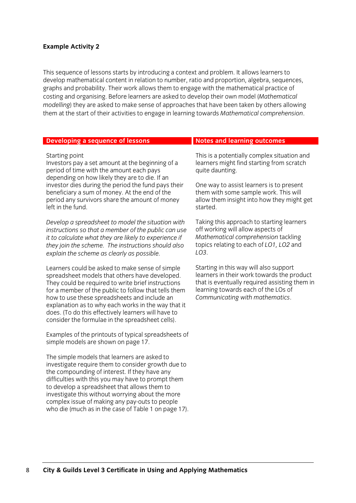### **Example Activity 2**

This sequence of lessons starts by introducing a context and problem. It allows learners to develop mathematical content in relation to number, ratio and proportion, algebra, sequences, graphs and probability. Their work allows them to engage with the mathematical practice of costing and organising. Before learners are asked to develop their own model (*Mathematical modelling*) they are asked to make sense of approaches that have been taken by others allowing them at the start of their activities to engage in learning towards *Mathematical comprehension*.

| <b>Developing a sequence of lessons</b>                                                                                                                                                                                                                                                                                                                                                                                           | <b>Notes and learning outcomes</b>                                                                                                                                                                              |  |  |
|-----------------------------------------------------------------------------------------------------------------------------------------------------------------------------------------------------------------------------------------------------------------------------------------------------------------------------------------------------------------------------------------------------------------------------------|-----------------------------------------------------------------------------------------------------------------------------------------------------------------------------------------------------------------|--|--|
| Starting point<br>Investors pay a set amount at the beginning of a<br>period of time with the amount each pays                                                                                                                                                                                                                                                                                                                    | This is a potentially complex situation and<br>learners might find starting from scratch<br>quite daunting.                                                                                                     |  |  |
| depending on how likely they are to die. If an<br>investor dies during the period the fund pays their<br>beneficiary a sum of money. At the end of the<br>period any survivors share the amount of money<br>left in the fund.                                                                                                                                                                                                     | One way to assist learners is to present<br>them with some sample work. This will<br>allow them insight into how they might get<br>started.                                                                     |  |  |
| Develop a spreadsheet to model the situation with<br>instructions so that a member of the public can use<br>it to calculate what they are likely to experience if<br>they join the scheme. The instructions should also<br>explain the scheme as clearly as possible.                                                                                                                                                             | Taking this approach to starting learners<br>off working will allow aspects of<br>Mathematical comprehension tackling<br>topics relating to each of LO1, LO2 and<br>LO3.                                        |  |  |
| Learners could be asked to make sense of simple<br>spreadsheet models that others have developed.<br>They could be required to write brief instructions<br>for a member of the public to follow that tells them<br>how to use these spreadsheets and include an<br>explanation as to why each works in the way that it<br>does. (To do this effectively learners will have to<br>consider the formulae in the spreadsheet cells). | Starting in this way will also support<br>learners in their work towards the product<br>that is eventually required assisting them in<br>learning towards each of the LOs of<br>Communicating with mathematics. |  |  |
| Examples of the printouts of typical spreadsheets of<br>simple models are shown on page 17.                                                                                                                                                                                                                                                                                                                                       |                                                                                                                                                                                                                 |  |  |
| The simple models that learners are asked to<br>investigate require them to consider growth due to<br>the compounding of interest. If they have any<br>difficulties with this you may have to prompt them<br>to develop a spreadsheet that allows them to<br>investigate this without worrying about the more<br>complex issue of making any pay-outs to people<br>who die (much as in the case of Table 1 on page 17).           |                                                                                                                                                                                                                 |  |  |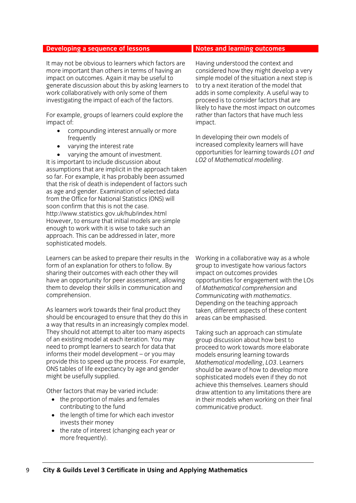It may not be obvious to learners which factors are more important than others in terms of having an impact on outcomes. Again it may be useful to generate discussion about this by asking learners to work collaboratively with only some of them investigating the impact of each of the factors.

For example, groups of learners could explore the impact of:

- compounding interest annually or more frequently
- varying the interest rate

 varying the amount of investment. It is important to include discussion about assumptions that are implicit in the approach taken so far. For example, it has probably been assumed that the risk of death is independent of factors such as age and gender. Examination of selected data from the Office for National Statistics (ONS) will soon confirm that this is not the case. http://www.statistics.gov.uk/hub/index.html However, to ensure that initial models are simple enough to work with it is wise to take such an approach. This can be addressed in later, more sophisticated models.

Learners can be asked to prepare their results in the form of an explanation for others to follow. By sharing their outcomes with each other they will have an opportunity for peer assessment, allowing them to develop their skills in communication and comprehension.

As learners work towards their final product they should be encouraged to ensure that they do this in a way that results in an increasingly complex model. They should not attempt to alter too many aspects of an existing model at each iteration. You may need to prompt learners to search for data that informs their model development – or you may provide this to speed up the process. For example, ONS tables of life expectancy by age and gender might be usefully supplied.

Other factors that may be varied include:

- the proportion of males and females contributing to the fund
- the length of time for which each investor invests their money
- the rate of interest (changing each year or more frequently).

Having understood the context and considered how they might develop a very simple model of the situation a next step is to try a next iteration of the model that adds in some complexity. A useful way to proceed is to consider factors that are likely to have the most impact on outcomes rather than factors that have much less impact.

In developing their own models of increased complexity learners will have opportunities for learning towards *LO1 and LO2* of *Mathematical modelling*.

Working in a collaborative way as a whole group to investigate how various factors impact on outcomes provides opportunities for engagement with the LOs of *Mathematical comprehension* and *Communicating with mathematics*. Depending on the teaching approach taken, different aspects of these content areas can be emphasised.

Taking such an approach can stimulate group discussion about how best to proceed to work towards more elaborate models ensuring learning towards *Mathematical modelling*, *LO3*. Learners should be aware of how to develop more sophisticated models even if they do not achieve this themselves. Learners should draw attention to any limitations there are in their models when working on their final communicative product.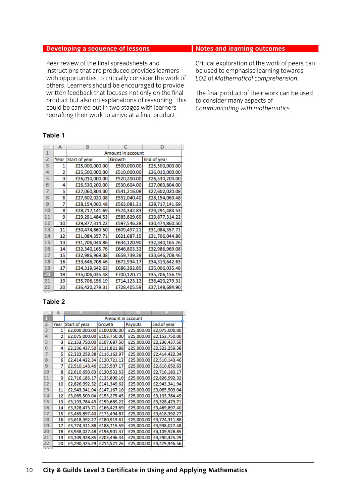Peer review of the final spreadsheets and instructions that are produced provides learners with opportunities to critically consider the work of others. Learners should be encouraged to provide written feedback that focuses not only on the final product but also on explanations of reasoning. This could be carried out in two stages with learners redrafting their work to arrive at a final product.

### **Table 1**

|                | A    | в                 |             | D              |  |  |
|----------------|------|-------------------|-------------|----------------|--|--|
| 1              |      | Amount in account |             |                |  |  |
| $\overline{2}$ | Year | Start of year     | Growth      | End of year    |  |  |
| з              |      | £25,000,000.00    | £500,000.00 | £25,500,000.00 |  |  |
| 4              | 2    | £25,500,000.00    | £510,000.00 | £26,010,000.00 |  |  |
| 5              | 3    | £26,010,000.00    | £520,200.00 | £26,530,200.00 |  |  |
| 6              | 4    | £26,530,200.00    | £530,604.00 | £27,060,804.00 |  |  |
| 7              | 5    | £27,060,804.00    | £541,216.08 | £27,602,020.08 |  |  |
| 8              | 6    | £27,602,020.08    | £552,040.40 | £28,154,060.48 |  |  |
| 9              | 7    | £28,154,060.48    | £563,081.21 | £28,717,141.69 |  |  |
| 10             | 8    | £28,717,141.69    | £574,342.83 | £29,291,484.53 |  |  |
| 11             | 9    | £29,291,484.53    | £585,829.69 | £29,877,314.22 |  |  |
| 12             | 10   | £29,877,314.22    | £597,546.28 | £30,474,860.50 |  |  |
| 13             | 11   | £30,474,860.50    | £609,497.21 | £31,084,357.71 |  |  |
| 14             | 12   | £31,084,357.71    | £621,687.15 | £31,706,044.86 |  |  |
| 15             | 13   | £31,706,044.86    | £634,120.90 | £32,340,165.76 |  |  |
| 16             | 14   | £32,340,165.76    | £646,803.32 | £32,986,969.08 |  |  |
| 17             | 15   | £32,986,969.08    | £659,739.38 | £33,646,708.46 |  |  |
| 18             | 16   | £33,646,708.46    | £672,934.17 | £34,319,642.63 |  |  |
| 19             | 17   | £34,319,642.63    | £686,392.85 | £35,006,035.48 |  |  |
| 20             | 18   | £35,006,035.48    | £700,120.71 | £35,706,156.19 |  |  |
| 21             | 19   | £35,706,156.19    | £714,123.12 | £36,420,279.31 |  |  |
| 22             | 20   | £36,420,279.31    | £728,405.59 | £37,148,684.90 |  |  |
|                |      |                   |             |                |  |  |

### **Table 2**

|                | А    | в                 |             | в          |               |  |
|----------------|------|-------------------|-------------|------------|---------------|--|
|                |      | Amount in account |             |            |               |  |
| $\overline{2}$ | Year | Start of year     | Growth      | Payouts    | End of year   |  |
| з              |      | £2,000,000.00     | £100,000.00 | £25,000.00 | £2,075,000.00 |  |
| 4              | 2    | £2,075,000.00     | £103,750.00 | £25,000.00 | £2,153,750.00 |  |
| 5              | 3    | £2,153,750.00     | £107,687.50 | £25,000.00 | £2,236,437.50 |  |
| 6              | 4    | £2,236,437.50     | £111,821.88 | £25,000.00 | £2,323,259.38 |  |
| 7              | 5    | £2,323,259.38     | £116,162.97 | £25,000.00 | £2,414,422.34 |  |
| 8              | 6    | £2,414,422.34     | £120,721.12 | £25,000.00 | £2,510,143.46 |  |
| 9              | 7    | £2,510,143.46     | £125,507.17 | £25,000.00 | £2,610,650.63 |  |
| 10             | 8    | £2,610,650.63     | £130,532.53 | £25,000.00 | £2,716,183.17 |  |
| 11             | 9    | £2,716,183.17     | £135,809.16 | £25,000.00 | £2,826,992.32 |  |
| 12             | 10   | £2,826,992.32     | £141,349.62 | £25,000.00 | £2,943,341.94 |  |
| 13             | 11   | £2,943,341.94     | £147,167.10 | £25,000.00 | £3,065,509.04 |  |
| 14             | 12   | £3,065,509.04     | £153,275.45 | £25,000.00 | £3,193,784.49 |  |
| 15             | 13   | £3,193,784.49     | £159,689.22 | £25,000.00 | £3,328,473.71 |  |
| 16             | 14   | £3,328,473.71     | £166,423.69 | £25,000.00 | £3,469,897.40 |  |
| 17             | 15   | £3,469,897.40     | £173,494.87 | £25,000.00 | £3,618,392.27 |  |
| 18             | 16   | £3,618,392.27     | £180,919.61 | £25,000.00 | £3,774,311.88 |  |
| 19             | 17   | £3,774,311.88     | £188,715.59 | £25,000.00 | £3,938,027.48 |  |
| 20             | 18   | £3,938,027.48     | £196,901.37 | £25,000.00 | £4,109,928.85 |  |
| 21             | 19   | £4,109,928.85     | £205,496.44 | £25,000.00 | £4,290,425.29 |  |
| 22             | 20   | £4,290,425.29     | £214,521.26 | £25,000.00 | £4,479,946.56 |  |
|                |      |                   |             |            |               |  |

Critical exploration of the work of peers can be used to emphasise learning towards *LO2* of *Mathematical comprehension*.

The final product of their work can be used to consider many aspects of *Communicating with mathematics*.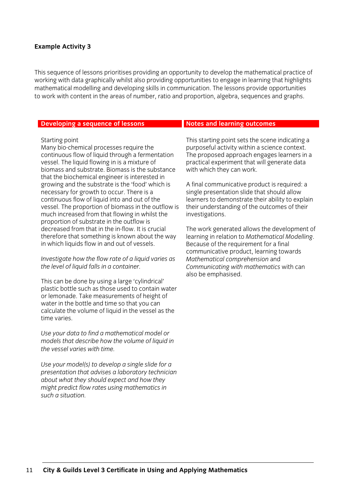### **Example Activity 3**

This sequence of lessons prioritises providing an opportunity to develop the mathematical practice of working with data graphically whilst also providing opportunities to engage in learning that highlights mathematical modelling and developing skills in communication. The lessons provide opportunities to work with content in the areas of number, ratio and proportion, algebra, sequences and graphs.

#### **Developing a sequence of lessons <b>Notes and learning outcomes**

#### Starting point

Many bio-chemical processes require the continuous flow of liquid through a fermentation vessel. The liquid flowing in is a mixture of biomass and substrate. Biomass is the substance that the biochemical engineer is interested in growing and the substrate is the 'food' which is necessary for growth to occur. There is a continuous flow of liquid into and out of the vessel. The proportion of biomass in the outflow is much increased from that flowing in whilst the proportion of substrate in the outflow is decreased from that in the in-flow. It is crucial therefore that something is known about the way in which liquids flow in and out of vessels.

*Investigate how the flow rate of a liquid varies as the level of liquid falls in a container.* 

This can be done by using a large 'cylindrical' plastic bottle such as those used to contain water or lemonade. Take measurements of height of water in the bottle and time so that you can calculate the volume of liquid in the vessel as the time varies.

*Use your data to find a mathematical model or models that describe how the volume of liquid in the vessel varies with time.* 

*Use your model(s) to develop a single slide for a presentation that advises a laboratory technician about what they should expect and how they might predict flow rates using mathematics in such a situation.* 

This starting point sets the scene indicating a purposeful activity within a science context. The proposed approach engages learners in a practical experiment that will generate data with which they can work.

A final communicative product is required: a single presentation slide that should allow learners to demonstrate their ability to explain their understanding of the outcomes of their investigations.

The work generated allows the development of learning in relation to *Mathematical Modelling*. Because of the requirement for a final communicative product, learning towards *Mathematical comprehension* and *Communicating with mathematics* with can also be emphasised.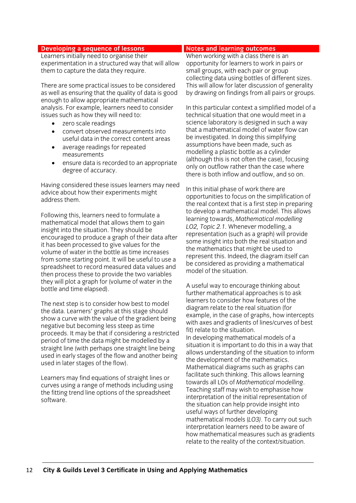Learners initially need to organise their experimentation in a structured way that will allow them to capture the data they require.

There are some practical issues to be considered as well as ensuring that the quality of data is good enough to allow appropriate mathematical analysis. For example, learners need to consider issues such as how they will need to:

- zero scale readings
- convert observed measurements into useful data in the correct content areas
- average readings for repeated measurements
- ensure data is recorded to an appropriate degree of accuracy.

Having considered these issues learners may need advice about how their experiments might address them.

Following this, learners need to formulate a mathematical model that allows them to gain insight into the situation. They should be encouraged to produce a graph of their data after it has been processed to give values for the volume of water in the bottle as time increases from some starting point. It will be useful to use a spreadsheet to record measured data values and then process these to provide the two variables they will plot a graph for (volume of water in the bottle and time elapsed).

The next step is to consider how best to model the data. Learners' graphs at this stage should show a curve with the value of the gradient being negative but becoming less steep as time proceeds. It may be that if considering a restricted period of time the data might be modelled by a straight line (with perhaps one straight line being used in early stages of the flow and another being used in later stages of the flow).

Learners may find equations of straight lines or curves using a range of methods including using the fitting trend line options of the spreadsheet software.

When working with a class there is an opportunity for learners to work in pairs or small groups, with each pair or group collecting data using bottles of different sizes. This will allow for later discussion of generality by drawing on findings from all pairs or groups.

In this particular context a simplified model of a technical situation that one would meet in a science laboratory is designed in such a way that a mathematical model of water flow can be investigated. In doing this simplifying assumptions have been made, such as modelling a plastic bottle as a cylinder (although this is not often the case), focusing only on outflow rather than the case where there is both inflow and outflow, and so on.

In this initial phase of work there are opportunities to focus on the simplification of the real context that is a first step in preparing to develop a mathematical model. This allows learning towards, *Mathematical modelling LO2, Topic 2.1.* Whenever modelling, a representation (such as a graph) will provide some insight into both the real situation and the mathematics that might be used to represent this. Indeed, the diagram itself can be considered as providing a mathematical model of the situation.

A useful way to encourage thinking about further mathematical approaches is to ask learners to consider how features of the diagram relate to the real situation (for example, in the case of graphs, how intercepts with axes and gradients of lines/curves of best fit) relate to the situation. In developing mathematical models of a situation it is important to do this in a way that allows understanding of the situation to inform the development of the mathematics. Mathematical diagrams such as graphs can facilitate such thinking. This allows learning towards all LOs of *Mathematical modelling*. Teaching staff may wish to emphasise how interpretation of the initial representation of the situation can help provide insight into useful ways of further developing mathematical models (*LO3)*. To carry out such interpretation learners need to be aware of how mathematical measures such as gradients relate to the reality of the context/situation.